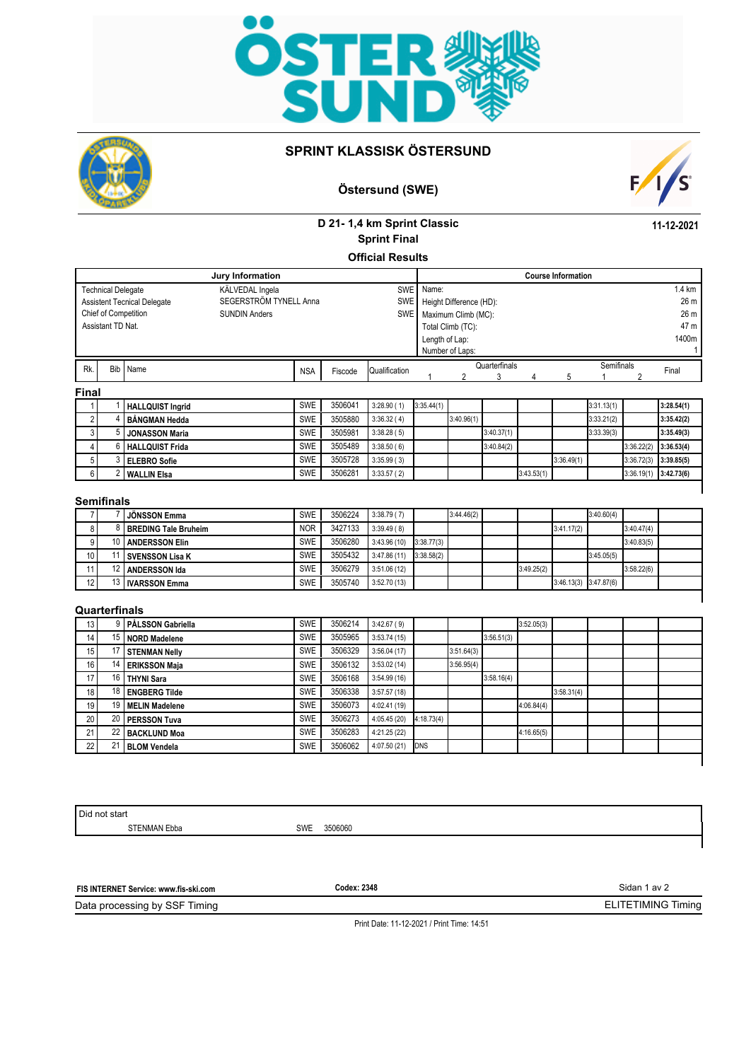



## **SPRINT KLASSISK ÖSTERSUND**

# **Östersund (SWE)**



**11-12-2021**

# **D 21- 1,4 km Sprint Classic Official Results Sprint Final**

**Jury Information** KÄLVEDAL Ingela SEGERSTRÖM TYNELL Anna SUNDIN Anders Assistant TD Nat. SWE SWE SWE 26 m 26 m 47 m 1400m 1 1.4 km **Course Information** Technical Delegate Assistent Tecnical Delegate Chief of Competition Name: Height Difference (HD): Maximum Climb (MC): Total Climb (TC): Length of Lap: Number of Laps: Rk. Bib Name Semiinais NSA Fiscode Qualification duration that semiinais semiinais qualification 1 2 3 4 5 1 2 Final **Final** 1 1 **HALLQUIST Ingrid** SWE 3506041 3:28.90 (1) 3:35.44(1) 3:35.44(1) 3:35.44(1) 3:35.1.13(1) 3:28.54(1) 2 4 **BÅNGMAN Hedda** SWE 3505880 3:36.32 ( 4) 3:40.96(1) 3:33.21(2) **3:35.42(2)**

|   | <b>BÁNGMAN Hedda</b>  | <b>SWE</b> | 3505880 | 3:36.32(4) | 3:40.96(1) |            |            |            | 3:33.21(2) |                            | 3:35.42(2) |
|---|-----------------------|------------|---------|------------|------------|------------|------------|------------|------------|----------------------------|------------|
|   | <b>JONASSON Maria</b> | <b>SWE</b> | 3505981 | 3:38.28(5) |            | 3:40.37(1) |            |            | 3:33.39(3) |                            | 3:35.49(3) |
| 4 | I HALLQUIST Frida     | <b>SWE</b> | 3505489 | 3:38.50(6) |            | 3:40.84(2) |            |            |            | 3:36.22(2)                 | 3:36.53(4) |
|   | i I ELEBRO Sofie      | <b>SWE</b> | 3505728 | 3:35.99(3) |            |            |            | 3:36.49(1) |            | $3:36.72(3)$ $13:39.85(5)$ |            |
|   | I WALLIN Elsa         | <b>SWE</b> | 3506281 | 3:33.57(2) |            |            | 3:43.53(1) |            |            | 3:36.19(1)                 | 3:42.73(6) |

#### **Semifinals**

|                 | <b>JÖNSSON Emma</b>           | <b>SWE</b> | 3506224 | 3:38.79(7)  |            | 3:44.46(2) |            |                           | 3:40.60(4) |            |  |
|-----------------|-------------------------------|------------|---------|-------------|------------|------------|------------|---------------------------|------------|------------|--|
| 81              | <b>I BREDING Tale Bruheim</b> | <b>NOR</b> | 3427133 | 3:39.49(8)  |            |            |            | 3:41.17(2)                |            | 3:40.47(4) |  |
| 9               | 10 ANDERSSON Elin             | <b>SWE</b> | 3506280 | 3:43.96(10) | 3:38.77(3) |            |            |                           |            | 3:40.83(5) |  |
| 10 <sub>l</sub> | l SVENSSON Lisa K             | <b>SWE</b> | 3505432 | 3:47.86(11) | 3:38.58(2) |            |            |                           | 3:45.05(5) |            |  |
|                 | ANDERSSON Ida                 | <b>SWE</b> | 3506279 | 3:51.06(12) |            |            | 3:49.25(2) |                           |            | 3:58.22(6) |  |
| 12              | 13   IVARSSON Emma            | <b>SWE</b> | 3505740 | 3:52.70(13) |            |            |            | $3:46.13(3)$ $3:47.87(6)$ |            |            |  |
|                 |                               |            |         |             |            |            |            |                           |            |            |  |

## **Quarterfinals**

| 13              |                 | PÅLSSON Gabriella    | <b>SWE</b> | 3506214 | 3:42.67(9)  |            |            |            | 3:52.05(3) |            |  |  |
|-----------------|-----------------|----------------------|------------|---------|-------------|------------|------------|------------|------------|------------|--|--|
| 14 <sub>1</sub> |                 | 15   NORD Madelene   | <b>SWE</b> | 3505965 | 3:53.74(15) |            |            | 3:56.51(3) |            |            |  |  |
| 15              |                 | <b>STENMAN Nelly</b> | SWE        | 3506329 | 3:56.04(17) |            | 3:51.64(3) |            |            |            |  |  |
| 16 <sub>l</sub> | 14              | <b>ERIKSSON Maja</b> | <b>SWE</b> | 3506132 | 3:53.02(14) |            | 3:56.95(4) |            |            |            |  |  |
| 17              | 16 I            | <b>THYNI Sara</b>    | <b>SWE</b> | 3506168 | 3:54.99(16) |            |            | 3:58.16(4) |            |            |  |  |
| 18 <sup>1</sup> |                 | 18 ENGBERG Tilde     | SWE        | 3506338 | 3:57.57(18) |            |            |            |            | 3:58.31(4) |  |  |
| 19              |                 | 19 MELIN Madelene    | <b>SWE</b> | 3506073 | 4:02.41(19) |            |            |            | 4:06.84(4) |            |  |  |
| 20 <sub>1</sub> |                 | 20 PERSSON Tuva      | <b>SWE</b> | 3506273 | 4:05.45(20) | 4:18.73(4) |            |            |            |            |  |  |
| 21              | 22 <sub>1</sub> | <b>BACKLUND Moa</b>  | SWE        | 3506283 | 4:21.25(22) |            |            |            | 4:16.65(5) |            |  |  |
| 22              |                 | <b>BLOM Vendela</b>  | SWE        | 3506062 | 4:07.50(21) | <b>DNS</b> |            |            |            |            |  |  |
|                 |                 |                      |            |         |             |            |            |            |            |            |  |  |

Did not start

STENMAN Ebba SWE 3506060

**FIS INTERNET Service: www.fis-ski.com**

**Codex: 2348**

Data processing by SSF Timing

Print Date: 11-12-2021 / Print Time: 14:51

Sidan 1 av 2

ELITETIMING Timing